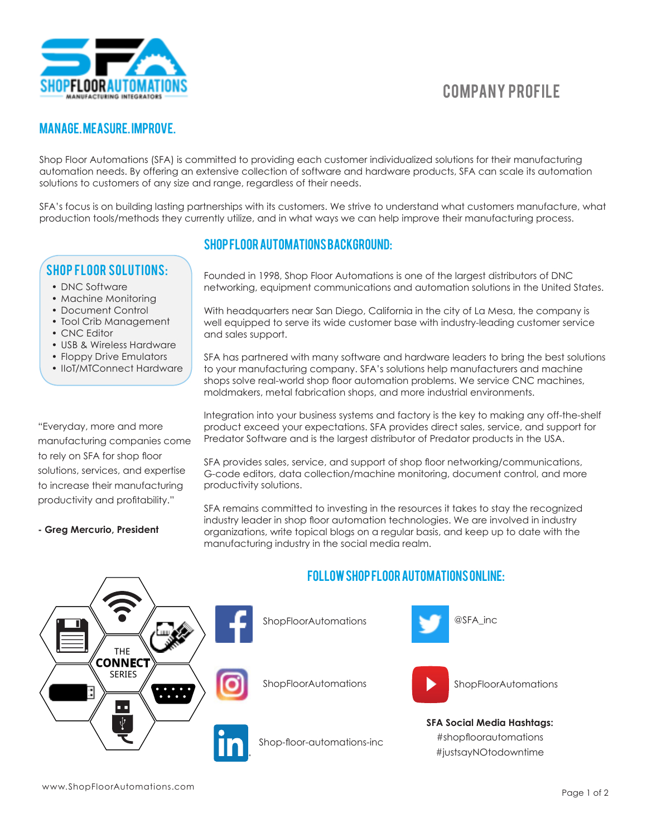

# Company Profile

# Manage. Measure. Improve.

Shop Floor Automations (SFA) is committed to providing each customer individualized solutions for their manufacturing automation needs. By offering an extensive collection of software and hardware products, SFA can scale its automation solutions to customers of any size and range, regardless of their needs.

SFA's focus is on building lasting partnerships with its customers. We strive to understand what customers manufacture, what production tools/methods they currently utilize, and in what ways we can help improve their manufacturing process.

# Shop Floor Solutions:

- DNC Software
- Machine Monitoring
- Document Control
- Tool Crib Management
- CNC Editor
- USB & Wireless Hardware
- Floppy Drive Emulators
- IIoT/MTConnect Hardware

"Everyday, more and more manufacturing companies come to rely on SFA for shop floor solutions, services, and expertise to increase their manufacturing productivity and profitability."

# Shop Floor Automations Background:

Founded in 1998, Shop Floor Automations is one of the largest distributors of DNC networking, equipment communications and automation solutions in the United States.

With headquarters near San Diego, California in the city of La Mesa, the company is well equipped to serve its wide customer base with industry-leading customer service and sales support.

SFA has partnered with many software and hardware leaders to bring the best solutions to your manufacturing company. SFA's solutions help manufacturers and machine shops solve real-world shop floor automation problems. We service CNC machines, moldmakers, metal fabrication shops, and more industrial environments.

Integration into your business systems and factory is the key to making any off-the-shelf product exceed your expectations. SFA provides direct sales, service, and support for Predator Software and is the largest distributor of Predator products in the USA.

SFA provides sales, service, and support of shop floor networking/communications, G-code editors, data collection/machine monitoring, document control, and more productivity solutions.

SFA remains committed to investing in the resources it takes to stay the recognized industry leader in shop floor automation technologies. We are involved in industry organizations, write topical blogs on a regular basis, and keep up to date with the manufacturing industry in the social media realm.



#### **- Greg Mercurio, President**